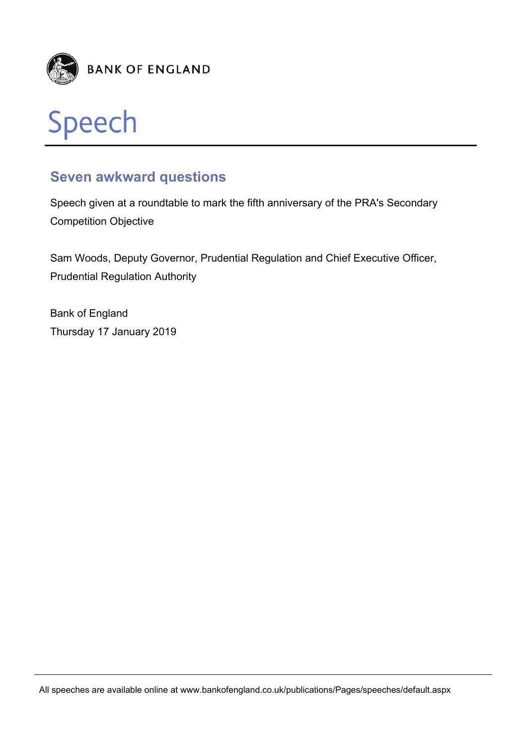



## **Seven awkward questions**

Speech given at a roundtable to mark the fifth anniversary of the PRA's Secondary Competition Objective

Sam Woods, Deputy Governor, Prudential Regulation and Chief Executive Officer, Prudential Regulation Authority

Bank of England Thursday 17 January 2019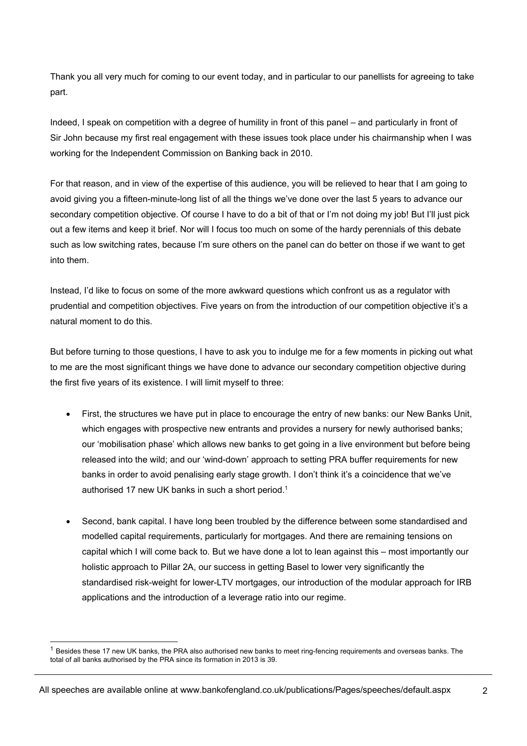Thank you all very much for coming to our event today, and in particular to our panellists for agreeing to take part.

Indeed, I speak on competition with a degree of humility in front of this panel – and particularly in front of Sir John because my first real engagement with these issues took place under his chairmanship when I was working for the Independent Commission on Banking back in 2010.

For that reason, and in view of the expertise of this audience, you will be relieved to hear that I am going to avoid giving you a fifteen-minute-long list of all the things we've done over the last 5 years to advance our secondary competition objective. Of course I have to do a bit of that or I'm not doing my job! But I'll just pick out a few items and keep it brief. Nor will I focus too much on some of the hardy perennials of this debate such as low switching rates, because I'm sure others on the panel can do better on those if we want to get into them.

Instead, I'd like to focus on some of the more awkward questions which confront us as a regulator with prudential and competition objectives. Five years on from the introduction of our competition objective it's a natural moment to do this.

But before turning to those questions, I have to ask you to indulge me for a few moments in picking out what to me are the most significant things we have done to advance our secondary competition objective during the first five years of its existence. I will limit myself to three:

- First, the structures we have put in place to encourage the entry of new banks: our New Banks Unit, which engages with prospective new entrants and provides a nursery for newly authorised banks; our 'mobilisation phase' which allows new banks to get going in a live environment but before being released into the wild; and our 'wind-down' approach to setting PRA buffer requirements for new banks in order to avoid penalising early stage growth. I don't think it's a coincidence that we've authorised 17 new UK banks in such a short period.<sup>1</sup>
- Second, bank capital. I have long been troubled by the difference between some standardised and modelled capital requirements, particularly for mortgages. And there are remaining tensions on capital which I will come back to. But we have done a lot to lean against this – most importantly our holistic approach to Pillar 2A, our success in getting Basel to lower very significantly the standardised risk-weight for lower-LTV mortgages, our introduction of the modular approach for IRB applications and the introduction of a leverage ratio into our regime.

l

 $1$  Besides these 17 new UK banks, the PRA also authorised new banks to meet ring-fencing requirements and overseas banks. The total of all banks authorised by the PRA since its formation in 2013 is 39.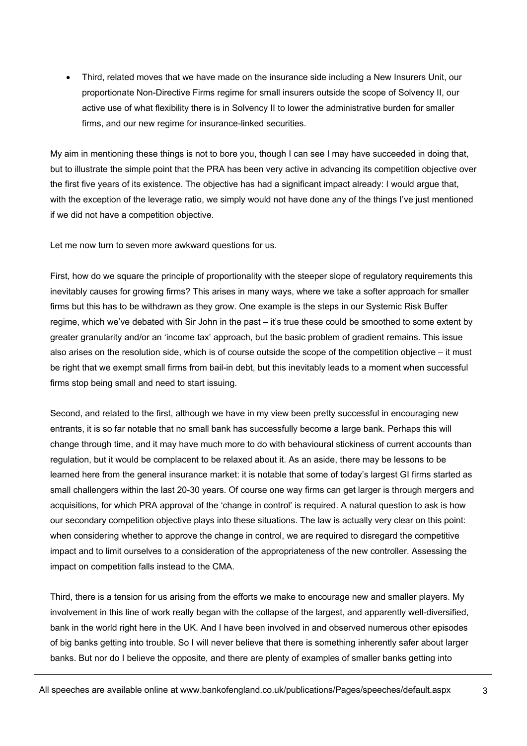Third, related moves that we have made on the insurance side including a New Insurers Unit, our proportionate Non-Directive Firms regime for small insurers outside the scope of Solvency II, our active use of what flexibility there is in Solvency II to lower the administrative burden for smaller firms, and our new regime for insurance-linked securities.

My aim in mentioning these things is not to bore you, though I can see I may have succeeded in doing that, but to illustrate the simple point that the PRA has been very active in advancing its competition objective over the first five years of its existence. The objective has had a significant impact already: I would argue that, with the exception of the leverage ratio, we simply would not have done any of the things I've just mentioned if we did not have a competition objective.

Let me now turn to seven more awkward questions for us.

First, how do we square the principle of proportionality with the steeper slope of regulatory requirements this inevitably causes for growing firms? This arises in many ways, where we take a softer approach for smaller firms but this has to be withdrawn as they grow. One example is the steps in our Systemic Risk Buffer regime, which we've debated with Sir John in the past – it's true these could be smoothed to some extent by greater granularity and/or an 'income tax' approach, but the basic problem of gradient remains. This issue also arises on the resolution side, which is of course outside the scope of the competition objective – it must be right that we exempt small firms from bail-in debt, but this inevitably leads to a moment when successful firms stop being small and need to start issuing.

Second, and related to the first, although we have in my view been pretty successful in encouraging new entrants, it is so far notable that no small bank has successfully become a large bank. Perhaps this will change through time, and it may have much more to do with behavioural stickiness of current accounts than regulation, but it would be complacent to be relaxed about it. As an aside, there may be lessons to be learned here from the general insurance market: it is notable that some of today's largest GI firms started as small challengers within the last 20-30 years. Of course one way firms can get larger is through mergers and acquisitions, for which PRA approval of the 'change in control' is required. A natural question to ask is how our secondary competition objective plays into these situations. The law is actually very clear on this point: when considering whether to approve the change in control, we are required to disregard the competitive impact and to limit ourselves to a consideration of the appropriateness of the new controller. Assessing the impact on competition falls instead to the CMA.

Third, there is a tension for us arising from the efforts we make to encourage new and smaller players. My involvement in this line of work really began with the collapse of the largest, and apparently well-diversified, bank in the world right here in the UK. And I have been involved in and observed numerous other episodes of big banks getting into trouble. So I will never believe that there is something inherently safer about larger banks. But nor do I believe the opposite, and there are plenty of examples of smaller banks getting into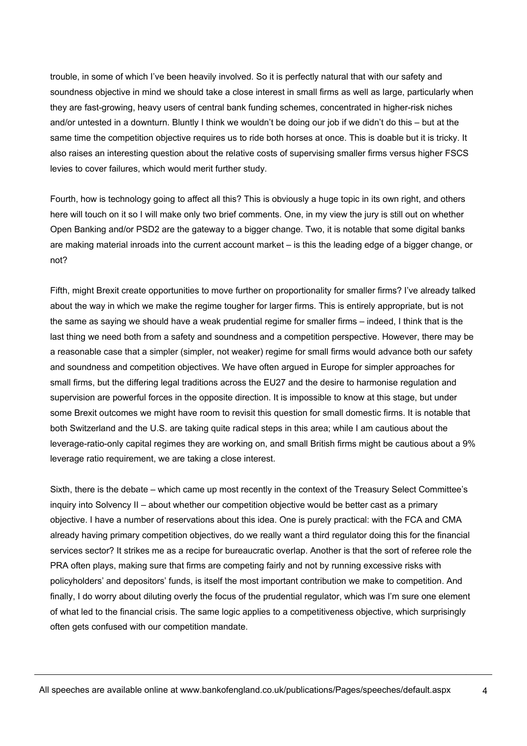trouble, in some of which I've been heavily involved. So it is perfectly natural that with our safety and soundness objective in mind we should take a close interest in small firms as well as large, particularly when they are fast-growing, heavy users of central bank funding schemes, concentrated in higher-risk niches and/or untested in a downturn. Bluntly I think we wouldn't be doing our job if we didn't do this – but at the same time the competition objective requires us to ride both horses at once. This is doable but it is tricky. It also raises an interesting question about the relative costs of supervising smaller firms versus higher FSCS levies to cover failures, which would merit further study.

Fourth, how is technology going to affect all this? This is obviously a huge topic in its own right, and others here will touch on it so I will make only two brief comments. One, in my view the jury is still out on whether Open Banking and/or PSD2 are the gateway to a bigger change. Two, it is notable that some digital banks are making material inroads into the current account market – is this the leading edge of a bigger change, or not?

Fifth, might Brexit create opportunities to move further on proportionality for smaller firms? I've already talked about the way in which we make the regime tougher for larger firms. This is entirely appropriate, but is not the same as saying we should have a weak prudential regime for smaller firms – indeed, I think that is the last thing we need both from a safety and soundness and a competition perspective. However, there may be a reasonable case that a simpler (simpler, not weaker) regime for small firms would advance both our safety and soundness and competition objectives. We have often argued in Europe for simpler approaches for small firms, but the differing legal traditions across the EU27 and the desire to harmonise regulation and supervision are powerful forces in the opposite direction. It is impossible to know at this stage, but under some Brexit outcomes we might have room to revisit this question for small domestic firms. It is notable that both Switzerland and the U.S. are taking quite radical steps in this area; while I am cautious about the leverage-ratio-only capital regimes they are working on, and small British firms might be cautious about a 9% leverage ratio requirement, we are taking a close interest.

Sixth, there is the debate – which came up most recently in the context of the Treasury Select Committee's inquiry into Solvency II – about whether our competition objective would be better cast as a primary objective. I have a number of reservations about this idea. One is purely practical: with the FCA and CMA already having primary competition objectives, do we really want a third regulator doing this for the financial services sector? It strikes me as a recipe for bureaucratic overlap. Another is that the sort of referee role the PRA often plays, making sure that firms are competing fairly and not by running excessive risks with policyholders' and depositors' funds, is itself the most important contribution we make to competition. And finally, I do worry about diluting overly the focus of the prudential regulator, which was I'm sure one element of what led to the financial crisis. The same logic applies to a competitiveness objective, which surprisingly often gets confused with our competition mandate.